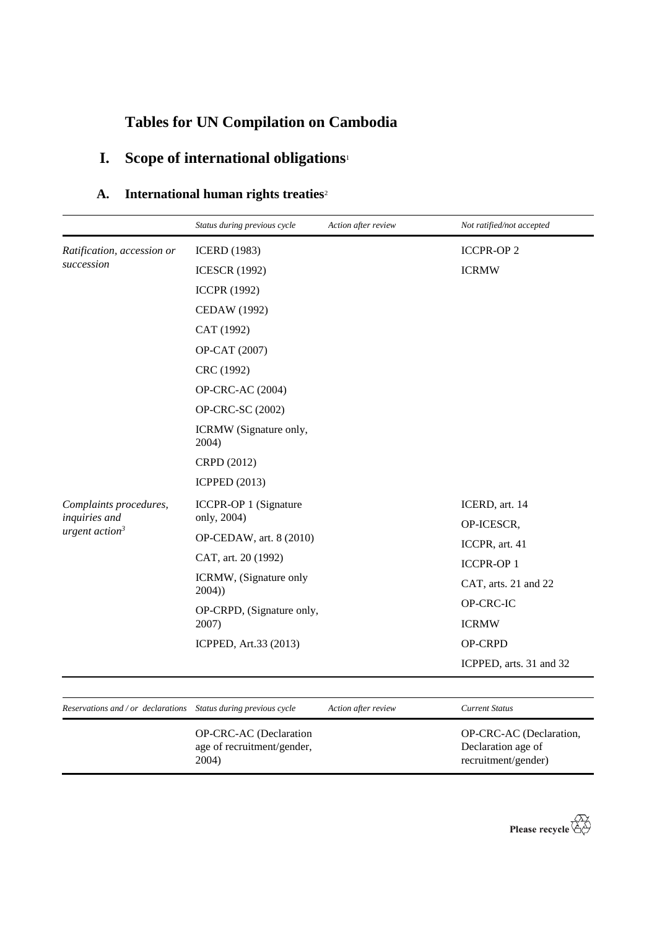## **Tables for UN Compilation on Cambodia**

## **I. Scope of international obligations**<sup>1</sup>

| A. | International human rights treaties <sup>2</sup> |  |  |  |
|----|--------------------------------------------------|--|--|--|
|----|--------------------------------------------------|--|--|--|

|                                         | Status during previous cycle                                                                 | Action after review | Not ratified/not accepted    |
|-----------------------------------------|----------------------------------------------------------------------------------------------|---------------------|------------------------------|
| Ratification, accession or              | <b>ICERD</b> (1983)                                                                          |                     | <b>ICCPR-OP2</b>             |
| succession                              | <b>ICESCR (1992)</b>                                                                         |                     | <b>ICRMW</b>                 |
|                                         | <b>ICCPR (1992)</b>                                                                          |                     |                              |
|                                         | <b>CEDAW</b> (1992)                                                                          |                     |                              |
|                                         | CAT (1992)                                                                                   |                     |                              |
|                                         | OP-CAT (2007)                                                                                |                     |                              |
|                                         | CRC (1992)                                                                                   |                     |                              |
|                                         | OP-CRC-AC (2004)                                                                             |                     |                              |
|                                         | OP-CRC-SC (2002)                                                                             |                     |                              |
|                                         | ICRMW (Signature only,<br>2004)                                                              |                     |                              |
|                                         | CRPD (2012)                                                                                  |                     |                              |
|                                         | <b>ICPPED (2013)</b>                                                                         |                     |                              |
| Complaints procedures,<br>inquiries and | ICCPR-OP 1 (Signature<br>only, 2004)                                                         |                     | ICERD, art. 14<br>OP-ICESCR, |
| urgent action <sup>3</sup>              | OP-CEDAW, art. 8 (2010)                                                                      |                     | ICCPR, art. 41               |
|                                         | CAT, art. 20 (1992)<br>ICRMW, (Signature only<br>2004)<br>OP-CRPD, (Signature only,<br>2007) |                     | <b>ICCPR-OP1</b>             |
|                                         |                                                                                              |                     | CAT, arts. 21 and 22         |
|                                         |                                                                                              |                     | OP-CRC-IC                    |
|                                         |                                                                                              |                     | <b>ICRMW</b>                 |
|                                         | ICPPED, Art.33 (2013)                                                                        |                     | OP-CRPD                      |
|                                         |                                                                                              |                     | ICPPED, arts. 31 and 32      |

*Reservations and / or declarations Status during previous cycle Action after review Current Status*

OP-CRC-AC (Declaration age of recruitment/gender, 2004)

OP-CRC-AC (Declaration, Declaration age of recruitment/gender)

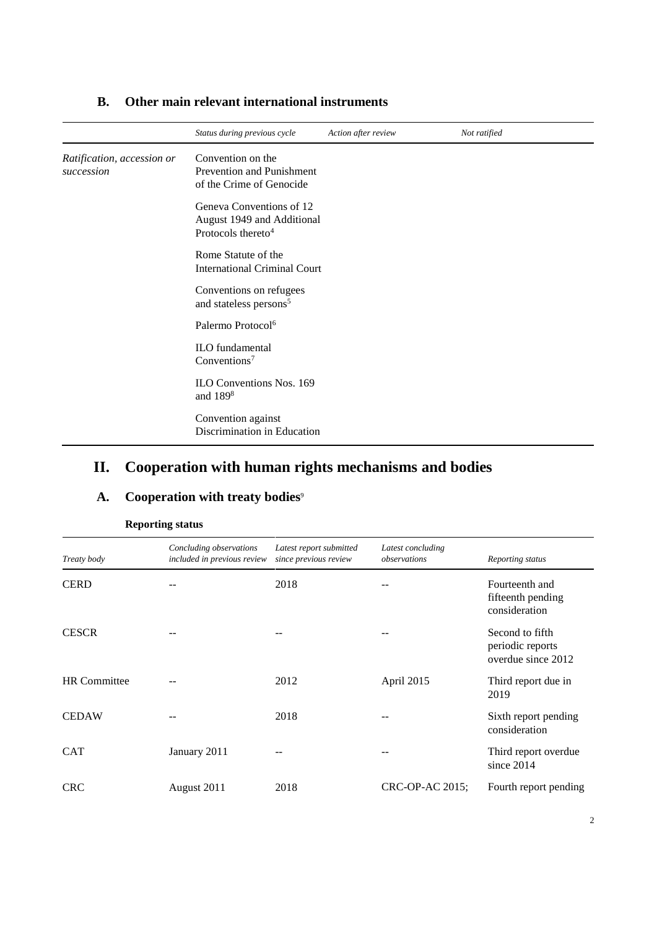|                                          | Status during previous cycle                                                             | Action after review | Not ratified |
|------------------------------------------|------------------------------------------------------------------------------------------|---------------------|--------------|
| Ratification, accession or<br>succession | Convention on the<br>Prevention and Punishment<br>of the Crime of Genocide               |                     |              |
|                                          | Geneva Conventions of 12<br>August 1949 and Additional<br>Protocols thereto <sup>4</sup> |                     |              |
|                                          | Rome Statute of the<br><b>International Criminal Court</b>                               |                     |              |
|                                          | Conventions on refugees<br>and stateless persons <sup>5</sup>                            |                     |              |
|                                          | Palermo Protocol <sup>6</sup>                                                            |                     |              |
|                                          | ILO fundamental<br>Conventions <sup>7</sup>                                              |                     |              |
|                                          | ILO Conventions Nos. 169<br>and 189 <sup>8</sup>                                         |                     |              |
|                                          | Convention against<br>Discrimination in Education                                        |                     |              |

#### **B. Other main relevant international instruments**

#### **II. Cooperation with human rights mechanisms and bodies**

## A. Cooperation with treaty bodies<sup>9</sup>

| Treaty body         | Concluding observations<br>included in previous review | Latest report submitted<br>since previous review | Latest concluding<br>observations | Reporting status                                          |
|---------------------|--------------------------------------------------------|--------------------------------------------------|-----------------------------------|-----------------------------------------------------------|
| <b>CERD</b>         |                                                        | 2018                                             |                                   | Fourteenth and<br>fifteenth pending<br>consideration      |
| <b>CESCR</b>        |                                                        |                                                  |                                   | Second to fifth<br>periodic reports<br>overdue since 2012 |
| <b>HR</b> Committee |                                                        | 2012                                             | April 2015                        | Third report due in<br>2019                               |
| <b>CEDAW</b>        |                                                        | 2018                                             |                                   | Sixth report pending<br>consideration                     |
| <b>CAT</b>          | January 2011                                           |                                                  |                                   | Third report overdue<br>since $2014$                      |
| <b>CRC</b>          | August 2011                                            | 2018                                             | CRC-OP-AC 2015;                   | Fourth report pending                                     |

#### **Reporting status**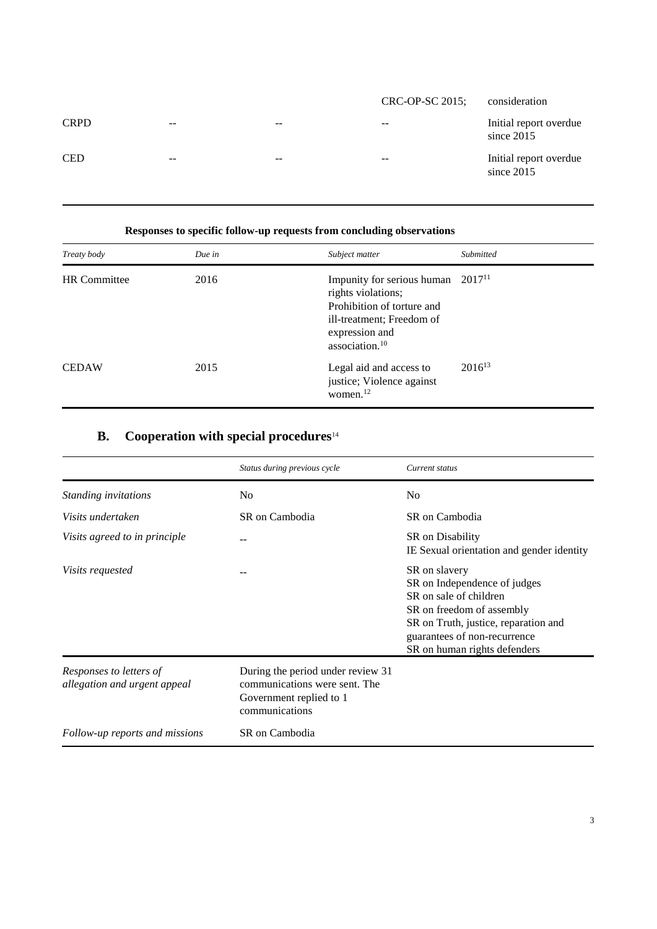|             |       |       | CRC-OP-SC 2015; | consideration                          |
|-------------|-------|-------|-----------------|----------------------------------------|
| <b>CRPD</b> | $- -$ | $ -$  | $- -$           | Initial report overdue<br>since $2015$ |
| <b>CED</b>  | $- -$ | $- -$ | $- -$           | Initial report overdue<br>since $2015$ |

| Responses to specific follow-up requests from concluding observations |        |                                                                                                                                                             |             |
|-----------------------------------------------------------------------|--------|-------------------------------------------------------------------------------------------------------------------------------------------------------------|-------------|
| Treaty body                                                           | Due in | Subject matter                                                                                                                                              | Submitted   |
| <b>HR</b> Committee                                                   | 2016   | Impunity for serious human<br>rights violations;<br>Prohibition of torture and<br>ill-treatment; Freedom of<br>expression and<br>association. <sup>10</sup> | $2017^{11}$ |
| <b>CEDAW</b>                                                          | 2015   | Legal aid and access to<br>justice; Violence against<br>women. <sup>12</sup>                                                                                | $2016^{13}$ |

# **B. Cooperation with special procedures**<sup>14</sup>

|                                                         | Status during previous cycle                                                                                    | Current status                                                                                                                                                                                               |
|---------------------------------------------------------|-----------------------------------------------------------------------------------------------------------------|--------------------------------------------------------------------------------------------------------------------------------------------------------------------------------------------------------------|
| Standing invitations                                    | No.                                                                                                             | N <sub>0</sub>                                                                                                                                                                                               |
| Visits undertaken                                       | SR on Cambodia                                                                                                  | SR on Cambodia                                                                                                                                                                                               |
| Visits agreed to in principle                           |                                                                                                                 | SR on Disability<br>IE Sexual orientation and gender identity                                                                                                                                                |
| Visits requested                                        |                                                                                                                 | SR on slavery<br>SR on Independence of judges<br>SR on sale of children<br>SR on freedom of assembly<br>SR on Truth, justice, reparation and<br>guarantees of non-recurrence<br>SR on human rights defenders |
| Responses to letters of<br>allegation and urgent appeal | During the period under review 31<br>communications were sent. The<br>Government replied to 1<br>communications |                                                                                                                                                                                                              |
| Follow-up reports and missions                          | SR on Cambodia                                                                                                  |                                                                                                                                                                                                              |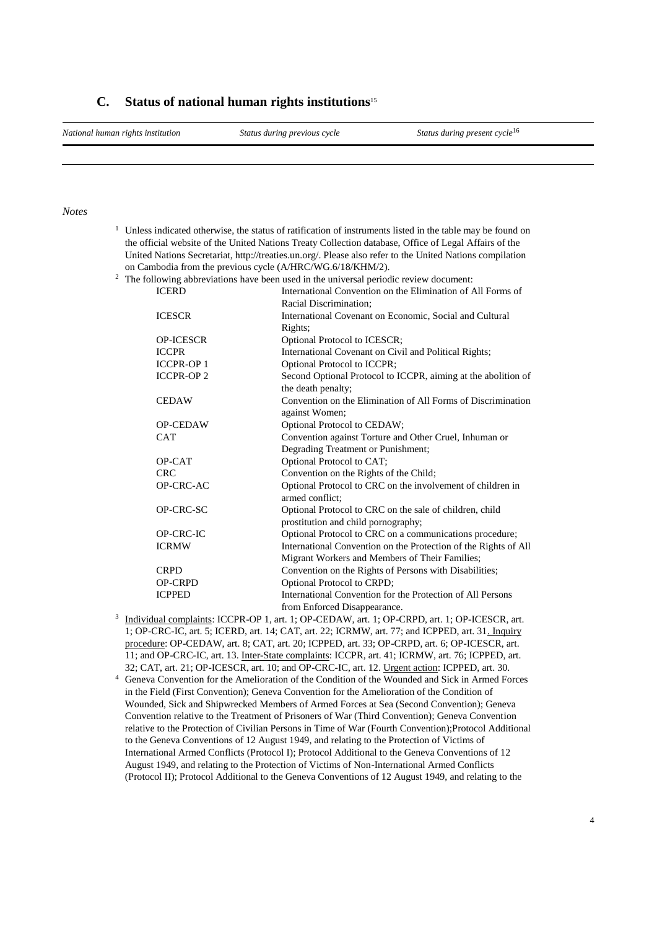#### **C. Status of national human rights institutions**<sup>15</sup>

*National human rights institution Status during previous cycle Status during present cycle*<sup>16</sup>

#### *Notes*

<sup>1</sup> Unless indicated otherwise, the status of ratification of instruments listed in the table may be found on the official website of the United Nations Treaty Collection database, Office of Legal Affairs of the United Nations Secretariat, http://treaties.un.org/. Please also refer to the United Nations compilation on Cambodia from the previous cycle (A/HRC/WG.6/18/KHM/2).

<sup>2</sup> The following abbreviations have been used in the universal periodic review document:

| <b>ICERD</b>     | International Convention on the Elimination of All Forms of     |
|------------------|-----------------------------------------------------------------|
|                  | Racial Discrimination;                                          |
| <b>ICESCR</b>    | International Covenant on Economic, Social and Cultural         |
|                  | Rights;                                                         |
| <b>OP-ICESCR</b> | Optional Protocol to ICESCR;                                    |
| <b>ICCPR</b>     | International Covenant on Civil and Political Rights;           |
| <b>ICCPR-OP1</b> | Optional Protocol to ICCPR;                                     |
| <b>ICCPR-OP2</b> | Second Optional Protocol to ICCPR, aiming at the abolition of   |
|                  | the death penalty;                                              |
| <b>CEDAW</b>     | Convention on the Elimination of All Forms of Discrimination    |
|                  | against Women;                                                  |
| <b>OP-CEDAW</b>  | Optional Protocol to CEDAW;                                     |
| <b>CAT</b>       | Convention against Torture and Other Cruel, Inhuman or          |
|                  | Degrading Treatment or Punishment;                              |
| OP-CAT           | Optional Protocol to CAT;                                       |
| <b>CRC</b>       | Convention on the Rights of the Child;                          |
| OP-CRC-AC        | Optional Protocol to CRC on the involvement of children in      |
|                  | armed conflict:                                                 |
| OP-CRC-SC        | Optional Protocol to CRC on the sale of children, child         |
|                  | prostitution and child pornography;                             |
| <b>OP-CRC-IC</b> | Optional Protocol to CRC on a communications procedure;         |
| <b>ICRMW</b>     | International Convention on the Protection of the Rights of All |
|                  | Migrant Workers and Members of Their Families;                  |
| <b>CRPD</b>      | Convention on the Rights of Persons with Disabilities;          |
| <b>OP-CRPD</b>   | Optional Protocol to CRPD;                                      |
| <b>ICPPED</b>    | International Convention for the Protection of All Persons      |
|                  | from Enforced Disappearance.                                    |

- 3 Individual complaints: ICCPR-OP 1, art. 1; OP-CEDAW, art. 1; OP-CRPD, art. 1; OP-ICESCR, art. 1; OP-CRC-IC, art. 5; ICERD, art. 14; CAT, art. 22; ICRMW, art. 77; and ICPPED, art. 31. Inquiry procedure: OP-CEDAW, art. 8; CAT, art. 20; ICPPED, art. 33; OP-CRPD, art. 6; OP-ICESCR, art. 11; and OP-CRC-IC, art. 13. Inter-State complaints: ICCPR, art. 41; ICRMW, art. 76; ICPPED, art. 32; CAT, art. 21; OP-ICESCR, art. 10; and OP-CRC-IC, art. 12. Urgent action: ICPPED, art. 30.
- <sup>4</sup> Geneva Convention for the Amelioration of the Condition of the Wounded and Sick in Armed Forces in the Field (First Convention); Geneva Convention for the Amelioration of the Condition of Wounded, Sick and Shipwrecked Members of Armed Forces at Sea (Second Convention); Geneva Convention relative to the Treatment of Prisoners of War (Third Convention); Geneva Convention relative to the Protection of Civilian Persons in Time of War (Fourth Convention);Protocol Additional to the Geneva Conventions of 12 August 1949, and relating to the Protection of Victims of International Armed Conflicts (Protocol I); Protocol Additional to the Geneva Conventions of 12 August 1949, and relating to the Protection of Victims of Non-International Armed Conflicts (Protocol II); Protocol Additional to the Geneva Conventions of 12 August 1949, and relating to the